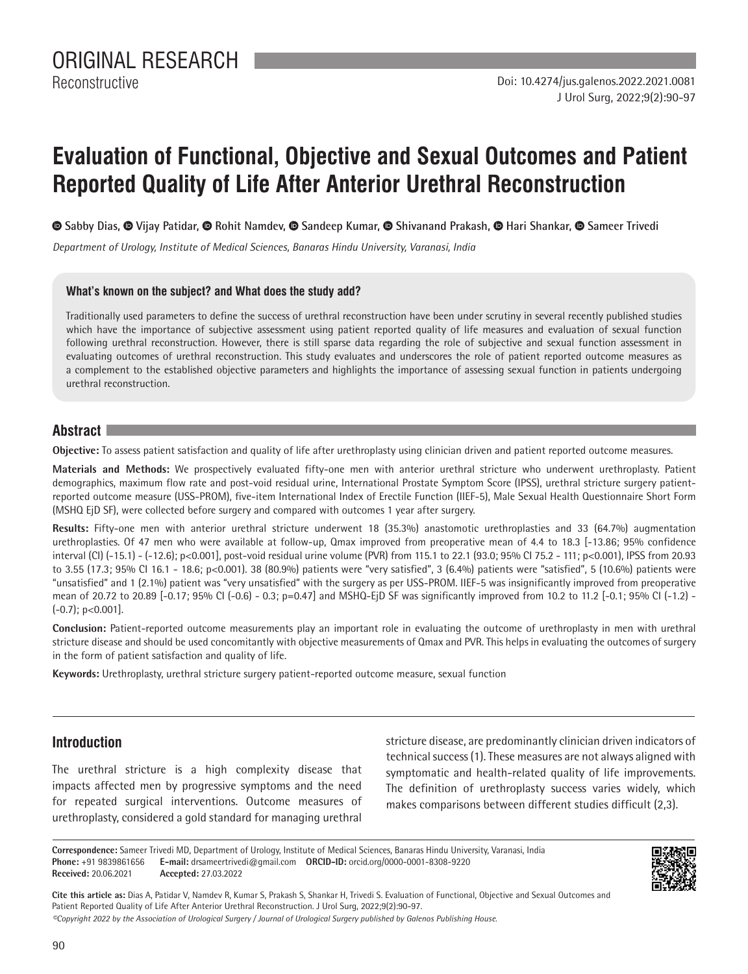Reconstructive

# **Evaluation of Functional, Objective and Sexual Outcomes and Patient Reported Quality of Life After Anterior Urethral Reconstruction**

 $\bullet$ **Sabby Dias,**  $\bullet$  **Vijay Patidar,**  $\bullet$  **Rohit Namdev,**  $\bullet$  **Sandeep Kumar,**  $\bullet$  **Shivanand Prakash,**  $\bullet$  **Hari Shankar,**  $\bullet$  **Sameer Trivedi** 

*Department of Urology, Institute of Medical Sciences, Banaras Hindu University, Varanasi, India*

## **What's known on the subject? and What does the study add?**

Traditionally used parameters to define the success of urethral reconstruction have been under scrutiny in several recently published studies which have the importance of subjective assessment using patient reported quality of life measures and evaluation of sexual function following urethral reconstruction. However, there is still sparse data regarding the role of subjective and sexual function assessment in evaluating outcomes of urethral reconstruction. This study evaluates and underscores the role of patient reported outcome measures as a complement to the established objective parameters and highlights the importance of assessing sexual function in patients undergoing urethral reconstruction.

## **Abstract**

**Objective:** To assess patient satisfaction and quality of life after urethroplasty using clinician driven and patient reported outcome measures.

**Materials and Methods:** We prospectively evaluated fifty-one men with anterior urethral stricture who underwent urethroplasty. Patient demographics, maximum flow rate and post-void residual urine, International Prostate Symptom Score (IPSS), urethral stricture surgery patientreported outcome measure (USS-PROM), five-item International Index of Erectile Function (IIEF-5), Male Sexual Health Questionnaire Short Form (MSHQ EjD SF), were collected before surgery and compared with outcomes 1 year after surgery.

**Results:** Fifty-one men with anterior urethral stricture underwent 18 (35.3%) anastomotic urethroplasties and 33 (64.7%) augmentation urethroplasties. Of 47 men who were available at follow-up, Qmax improved from preoperative mean of 4.4 to 18.3 [-13.86; 95% confidence interval (CI) (-15.1) - (-12.6); p<0.001], post-void residual urine volume (PVR) from 115.1 to 22.1 (93.0; 95% CI 75.2 - 111; p<0.001), IPSS from 20.93 to 3.55 (17.3; 95% CI 16.1 - 18.6; p<0.001). 38 (80.9%) patients were "very satisfied", 3 (6.4%) patients were "satisfied", 5 (10.6%) patients were "unsatisfied" and 1 (2.1%) patient was "very unsatisfied" with the surgery as per USS-PROM. IIEF-5 was insignificantly improved from preoperative mean of 20.72 to 20.89 [-0.17; 95% CI (-0.6) - 0.3; p=0.47] and MSHQ-EjD SF was significantly improved from 10.2 to 11.2 [-0.1; 95% CI (-1.2) -  $(-0.7)$ ; p<0.001].

**Conclusion:** Patient-reported outcome measurements play an important role in evaluating the outcome of urethroplasty in men with urethral stricture disease and should be used concomitantly with objective measurements of Qmax and PVR. This helps in evaluating the outcomes of surgery in the form of patient satisfaction and quality of life.

**Keywords:** Urethroplasty, urethral stricture surgery patient-reported outcome measure, sexual function

# **Introduction**

The urethral stricture is a high complexity disease that impacts affected men by progressive symptoms and the need for repeated surgical interventions. Outcome measures of urethroplasty, considered a gold standard for managing urethral stricture disease, are predominantly clinician driven indicators of technical success (1). These measures are not always aligned with symptomatic and health-related quality of life improvements. The definition of urethroplasty success varies widely, which makes comparisons between different studies difficult (2,3).



**Cite this article as:** Dias A, Patidar V, Namdev R, Kumar S, Prakash S, Shankar H, Trivedi S. Evaluation of Functional, Objective and Sexual Outcomes and Patient Reported Quality of Life After Anterior Urethral Reconstruction. J Urol Surg, 2022;9(2):90-97.

*©Copyright 2022 by the Association of Urological Surgery / Journal of Urological Surgery published by Galenos Publishing House.*

**Correspondence:** Sameer Trivedi MD, Department of Urology, Institute of Medical Sciences, Banaras Hindu University, Varanasi, India **Phone:** +91 9839861656 **E-mail:** drsameertrivedi@gmail.com **ORCID-ID:** orcid.org/0000-0001-8308-9220 **Received:** 20.06.2021 **Accepted:** 27.03.2022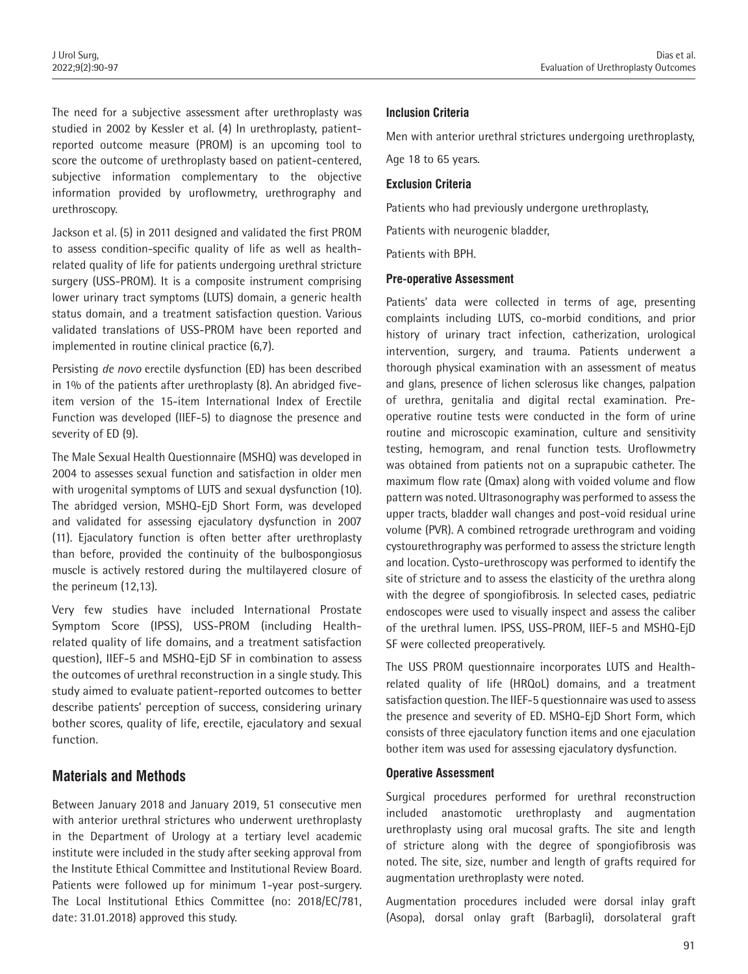The need for a subjective assessment after urethroplasty was studied in 2002 by Kessler et al. (4) In urethroplasty, patientreported outcome measure (PROM) is an upcoming tool to score the outcome of urethroplasty based on patient-centered, subjective information complementary to the objective information provided by uroflowmetry, urethrography and urethroscopy.

Jackson et al. (5) in 2011 designed and validated the first PROM to assess condition-specific quality of life as well as healthrelated quality of life for patients undergoing urethral stricture surgery (USS-PROM). It is a composite instrument comprising lower urinary tract symptoms (LUTS) domain, a generic health status domain, and a treatment satisfaction question. Various validated translations of USS-PROM have been reported and implemented in routine clinical practice (6,7).

Persisting *de novo* erectile dysfunction (ED) has been described in 1% of the patients after urethroplasty (8). An abridged fiveitem version of the 15-item International Index of Erectile Function was developed (IIEF-5) to diagnose the presence and severity of ED (9).

The Male Sexual Health Questionnaire (MSHQ) was developed in 2004 to assesses sexual function and satisfaction in older men with urogenital symptoms of LUTS and sexual dysfunction (10). The abridged version, MSHQ-EjD Short Form, was developed and validated for assessing ejaculatory dysfunction in 2007 (11). Ejaculatory function is often better after urethroplasty than before, provided the continuity of the bulbospongiosus muscle is actively restored during the multilayered closure of the perineum (12,13).

Very few studies have included International Prostate Symptom Score (IPSS), USS-PROM (including Healthrelated quality of life domains, and a treatment satisfaction question), IIEF-5 and MSHQ-EjD SF in combination to assess the outcomes of urethral reconstruction in a single study. This study aimed to evaluate patient-reported outcomes to better describe patients' perception of success, considering urinary bother scores, quality of life, erectile, ejaculatory and sexual function.

# **Materials and Methods**

Between January 2018 and January 2019, 51 consecutive men with anterior urethral strictures who underwent urethroplasty in the Department of Urology at a tertiary level academic institute were included in the study after seeking approval from the Institute Ethical Committee and Institutional Review Board. Patients were followed up for minimum 1-year post-surgery. The Local Institutional Ethics Committee (no: 2018/EC/781, date: 31.01.2018) approved this study.

## **Inclusion Criteria**

Men with anterior urethral strictures undergoing urethroplasty,

Age 18 to 65 years.

#### **Exclusion Criteria**

Patients who had previously undergone urethroplasty,

Patients with neurogenic bladder,

Patients with BPH.

#### **Pre-operative Assessment**

Patients' data were collected in terms of age, presenting complaints including LUTS, co-morbid conditions, and prior history of urinary tract infection, catherization, urological intervention, surgery, and trauma. Patients underwent a thorough physical examination with an assessment of meatus and glans, presence of lichen sclerosus like changes, palpation of urethra, genitalia and digital rectal examination. Preoperative routine tests were conducted in the form of urine routine and microscopic examination, culture and sensitivity testing, hemogram, and renal function tests. Uroflowmetry was obtained from patients not on a suprapubic catheter. The maximum flow rate (Qmax) along with voided volume and flow pattern was noted. Ultrasonography was performed to assess the upper tracts, bladder wall changes and post-void residual urine volume (PVR). A combined retrograde urethrogram and voiding cystourethrography was performed to assess the stricture length and location. Cysto-urethroscopy was performed to identify the site of stricture and to assess the elasticity of the urethra along with the degree of spongiofibrosis. In selected cases, pediatric endoscopes were used to visually inspect and assess the caliber of the urethral lumen. IPSS, USS-PROM, IIEF-5 and MSHQ-EjD SF were collected preoperatively.

The USS PROM questionnaire incorporates LUTS and Healthrelated quality of life (HRQoL) domains, and a treatment satisfaction question. The IIEF-5 questionnaire was used to assess the presence and severity of ED. MSHQ-EjD Short Form, which consists of three ejaculatory function items and one ejaculation bother item was used for assessing ejaculatory dysfunction.

#### **Operative Assessment**

Surgical procedures performed for urethral reconstruction included anastomotic urethroplasty and augmentation urethroplasty using oral mucosal grafts. The site and length of stricture along with the degree of spongiofibrosis was noted. The site, size, number and length of grafts required for augmentation urethroplasty were noted.

Augmentation procedures included were dorsal inlay graft (Asopa), dorsal onlay graft (Barbagli), dorsolateral graft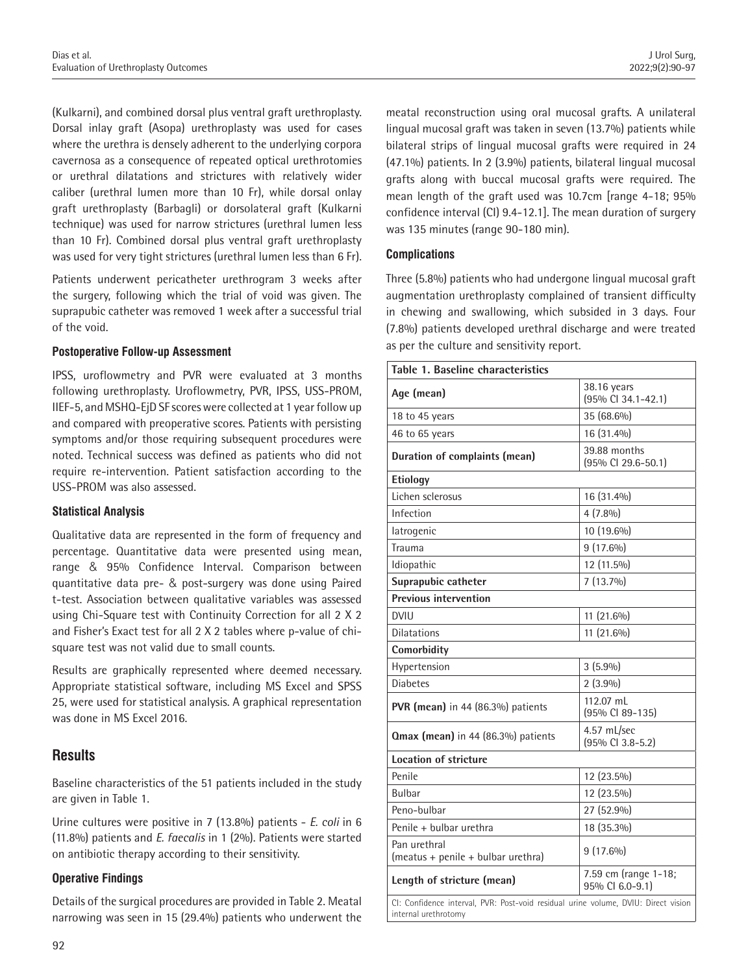(Kulkarni), and combined dorsal plus ventral graft urethroplasty. Dorsal inlay graft (Asopa) urethroplasty was used for cases where the urethra is densely adherent to the underlying corpora cavernosa as a consequence of repeated optical urethrotomies or urethral dilatations and strictures with relatively wider caliber (urethral lumen more than 10 Fr), while dorsal onlay graft urethroplasty (Barbagli) or dorsolateral graft (Kulkarni technique) was used for narrow strictures (urethral lumen less than 10 Fr). Combined dorsal plus ventral graft urethroplasty was used for very tight strictures (urethral lumen less than 6 Fr).

Patients underwent pericatheter urethrogram 3 weeks after the surgery, following which the trial of void was given. The suprapubic catheter was removed 1 week after a successful trial of the void.

#### **Postoperative Follow-up Assessment**

IPSS, uroflowmetry and PVR were evaluated at 3 months following urethroplasty. Uroflowmetry, PVR, IPSS, USS-PROM, IIEF-5, and MSHQ-EjD SF scores were collected at 1 year follow up and compared with preoperative scores. Patients with persisting symptoms and/or those requiring subsequent procedures were noted. Technical success was defined as patients who did not require re-intervention. Patient satisfaction according to the USS-PROM was also assessed.

#### **Statistical Analysis**

Qualitative data are represented in the form of frequency and percentage. Quantitative data were presented using mean, range & 95% Confidence Interval. Comparison between quantitative data pre- & post-surgery was done using Paired t-test. Association between qualitative variables was assessed using Chi-Square test with Continuity Correction for all 2 X 2 and Fisher's Exact test for all 2 X 2 tables where p-value of chisquare test was not valid due to small counts.

Results are graphically represented where deemed necessary. Appropriate statistical software, including MS Excel and SPSS 25, were used for statistical analysis. A graphical representation was done in MS Excel 2016.

## **Results**

Baseline characteristics of the 51 patients included in the study are given in Table 1.

Urine cultures were positive in 7 (13.8%) patients - *E. coli* in 6 (11.8%) patients and *E. faecalis* in 1 (2%). Patients were started on antibiotic therapy according to their sensitivity.

#### **Operative Findings**

Details of the surgical procedures are provided in Table 2. Meatal narrowing was seen in 15 (29.4%) patients who underwent the meatal reconstruction using oral mucosal grafts. A unilateral lingual mucosal graft was taken in seven (13.7%) patients while bilateral strips of lingual mucosal grafts were required in 24 (47.1%) patients. In 2 (3.9%) patients, bilateral lingual mucosal grafts along with buccal mucosal grafts were required. The mean length of the graft used was 10.7cm [range 4-18; 95% confidence interval (CI) 9.4-12.1]. The mean duration of surgery was 135 minutes (range 90-180 min).

#### **Complications**

Three (5.8%) patients who had undergone lingual mucosal graft augmentation urethroplasty complained of transient difficulty in chewing and swallowing, which subsided in 3 days. Four (7.8%) patients developed urethral discharge and were treated as per the culture and sensitivity report.

| Table 1. Baseline characteristics                                                                          |                                               |
|------------------------------------------------------------------------------------------------------------|-----------------------------------------------|
| Age (mean)                                                                                                 | 38.16 years<br>(95% CI 34.1-42.1)             |
| 18 to 45 years                                                                                             | 35 (68.6%)                                    |
| 46 to 65 years                                                                                             | 16 (31.4%)                                    |
| Duration of complaints (mean)                                                                              | 39.88 months<br>(95% CI 29.6-50.1)            |
| <b>Etiology</b>                                                                                            |                                               |
| Lichen sclerosus                                                                                           | 16 (31.4%)                                    |
| Infection                                                                                                  | $4(7.8\%)$                                    |
| latrogenic                                                                                                 | 10 (19.6%)                                    |
| Trauma                                                                                                     | $9(17.6\%)$                                   |
| Idiopathic                                                                                                 | 12 (11.5%)                                    |
| Suprapubic catheter                                                                                        | $7(13.7\%)$                                   |
| <b>Previous intervention</b>                                                                               |                                               |
| <b>DVIU</b>                                                                                                | 11 (21.6%)                                    |
| <b>Dilatations</b>                                                                                         | 11 (21.6%)                                    |
| Comorbidity                                                                                                |                                               |
| Hypertension                                                                                               | $3(5.9\%)$                                    |
| <b>Diabetes</b>                                                                                            | $2(3.9\%)$                                    |
| <b>PVR (mean)</b> in 44 (86.3%) patients                                                                   | 112.07 mL<br>(95% CI 89-135)                  |
| <b>Qmax (mean)</b> in 44 (86.3%) patients                                                                  | 4.57 mL/sec<br>$(95\% \text{ CI } 3.8 - 5.2)$ |
| <b>Location of stricture</b>                                                                               |                                               |
| Penile                                                                                                     | 12 (23.5%)                                    |
| <b>Bulbar</b>                                                                                              | 12 (23.5%)                                    |
| Peno-bulbar                                                                                                | 27 (52.9%)                                    |
| Penile + bulbar urethra                                                                                    | 18 (35.3%)                                    |
| Pan urethral<br>(meatus + penile + bulbar urethra)                                                         | $9(17.6\%)$                                   |
| Length of stricture (mean)                                                                                 | 7.59 cm (range 1-18;<br>95% CI 6.0-9.1)       |
| Cl: Confidence interval, PVR: Post-void residual urine volume, DVIU: Direct vision<br>internal urethrotomy |                                               |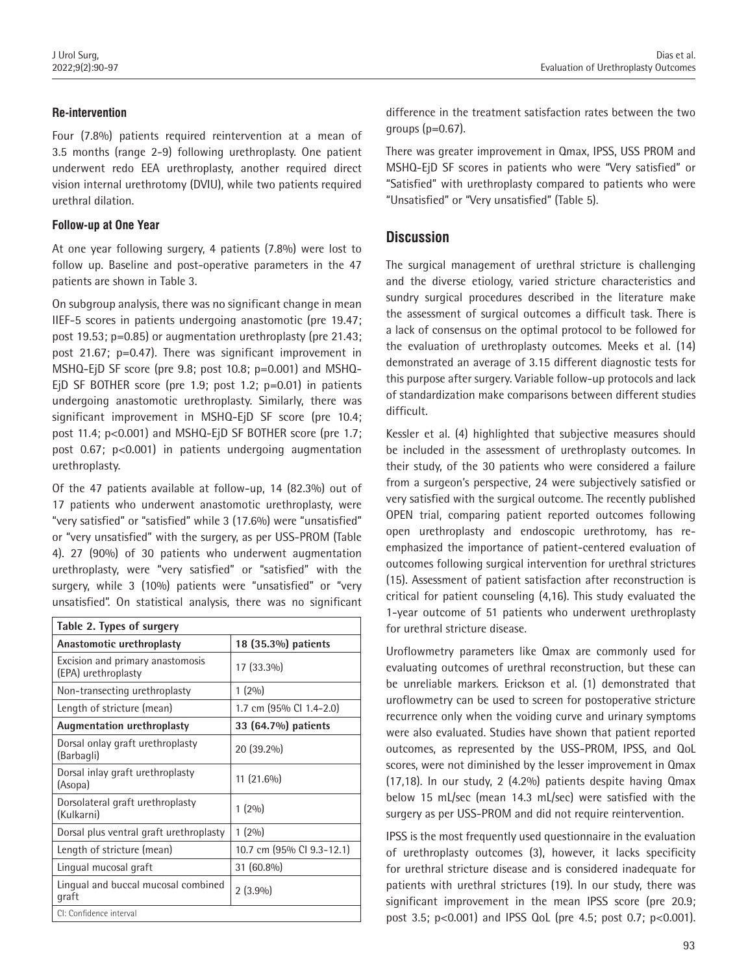## **Re-intervention**

Four (7.8%) patients required reintervention at a mean of 3.5 months (range 2-9) following urethroplasty. One patient underwent redo EEA urethroplasty, another required direct vision internal urethrotomy (DVIU), while two patients required urethral dilation.

#### **Follow-up at One Year**

At one year following surgery, 4 patients (7.8%) were lost to follow up. Baseline and post-operative parameters in the 47 patients are shown in Table 3.

On subgroup analysis, there was no significant change in mean IIEF-5 scores in patients undergoing anastomotic (pre 19.47; post 19.53; p=0.85) or augmentation urethroplasty (pre 21.43; post 21.67; p=0.47). There was significant improvement in MSHQ-EjD SF score (pre 9.8; post 10.8; p=0.001) and MSHQ-EjD SF BOTHER score (pre 1.9; post 1.2; p=0.01) in patients undergoing anastomotic urethroplasty. Similarly, there was significant improvement in MSHQ-EjD SF score (pre 10.4; post 11.4; p<0.001) and MSHQ-EjD SF BOTHER score (pre 1.7; post 0.67; p<0.001) in patients undergoing augmentation urethroplasty.

Of the 47 patients available at follow-up, 14 (82.3%) out of 17 patients who underwent anastomotic urethroplasty, were "very satisfied" or "satisfied" while 3 (17.6%) were "unsatisfied" or "very unsatisfied" with the surgery, as per USS-PROM (Table 4). 27 (90%) of 30 patients who underwent augmentation urethroplasty, were "very satisfied" or "satisfied" with the surgery, while 3 (10%) patients were "unsatisfied" or "very unsatisfied". On statistical analysis, there was no significant

| Table 2. Types of surgery                               |                           |  |  |  |
|---------------------------------------------------------|---------------------------|--|--|--|
| Anastomotic urethroplasty                               | 18 (35.3%) patients       |  |  |  |
| Excision and primary anastomosis<br>(EPA) urethroplasty | 17 (33.3%)                |  |  |  |
| Non-transecting urethroplasty                           | $1(2\%)$                  |  |  |  |
| Length of stricture (mean)                              | 1.7 cm (95% Cl 1.4-2.0)   |  |  |  |
| Augmentation urethroplasty                              | 33 (64.7%) patients       |  |  |  |
| Dorsal onlay graft urethroplasty<br>(Barbagli)          | 20 (39.2%)                |  |  |  |
| Dorsal inlay graft urethroplasty<br>(Asopa)             | 11 (21.6%)                |  |  |  |
| Dorsolateral graft urethroplasty<br>(Kulkarni)          | $1(2\%)$                  |  |  |  |
| Dorsal plus ventral graft urethroplasty                 | $1(2\%)$                  |  |  |  |
| Length of stricture (mean)                              | 10.7 cm (95% Cl 9.3-12.1) |  |  |  |
| Lingual mucosal graft                                   | 31 (60.8%)                |  |  |  |
| Lingual and buccal mucosal combined<br>graft            | $2(3.9\%)$                |  |  |  |
| CI: Confidence interval                                 |                           |  |  |  |

difference in the treatment satisfaction rates between the two groups (p=0.67).

There was greater improvement in Qmax, IPSS, USS PROM and MSHQ-EjD SF scores in patients who were "Very satisfied" or "Satisfied" with urethroplasty compared to patients who were "Unsatisfied" or "Very unsatisfied" (Table 5).

## **Discussion**

The surgical management of urethral stricture is challenging and the diverse etiology, varied stricture characteristics and sundry surgical procedures described in the literature make the assessment of surgical outcomes a difficult task. There is a lack of consensus on the optimal protocol to be followed for the evaluation of urethroplasty outcomes. Meeks et al. (14) demonstrated an average of 3.15 different diagnostic tests for this purpose after surgery. Variable follow-up protocols and lack of standardization make comparisons between different studies difficult.

Kessler et al. (4) highlighted that subjective measures should be included in the assessment of urethroplasty outcomes. In their study, of the 30 patients who were considered a failure from a surgeon's perspective, 24 were subjectively satisfied or very satisfied with the surgical outcome. The recently published OPEN trial, comparing patient reported outcomes following open urethroplasty and endoscopic urethrotomy, has reemphasized the importance of patient-centered evaluation of outcomes following surgical intervention for urethral strictures (15). Assessment of patient satisfaction after reconstruction is critical for patient counseling (4,16). This study evaluated the 1-year outcome of 51 patients who underwent urethroplasty for urethral stricture disease.

Uroflowmetry parameters like Qmax are commonly used for evaluating outcomes of urethral reconstruction, but these can be unreliable markers. Erickson et al. (1) demonstrated that uroflowmetry can be used to screen for postoperative stricture recurrence only when the voiding curve and urinary symptoms were also evaluated. Studies have shown that patient reported outcomes, as represented by the USS-PROM, IPSS, and QoL scores, were not diminished by the lesser improvement in Qmax (17,18). In our study, 2 (4.2%) patients despite having Qmax below 15 mL/sec (mean 14.3 mL/sec) were satisfied with the surgery as per USS-PROM and did not require reintervention.

IPSS is the most frequently used questionnaire in the evaluation of urethroplasty outcomes (3), however, it lacks specificity for urethral stricture disease and is considered inadequate for patients with urethral strictures (19). In our study, there was significant improvement in the mean IPSS score (pre 20.9; post 3.5; p<0.001) and IPSS QoL (pre 4.5; post 0.7; p<0.001).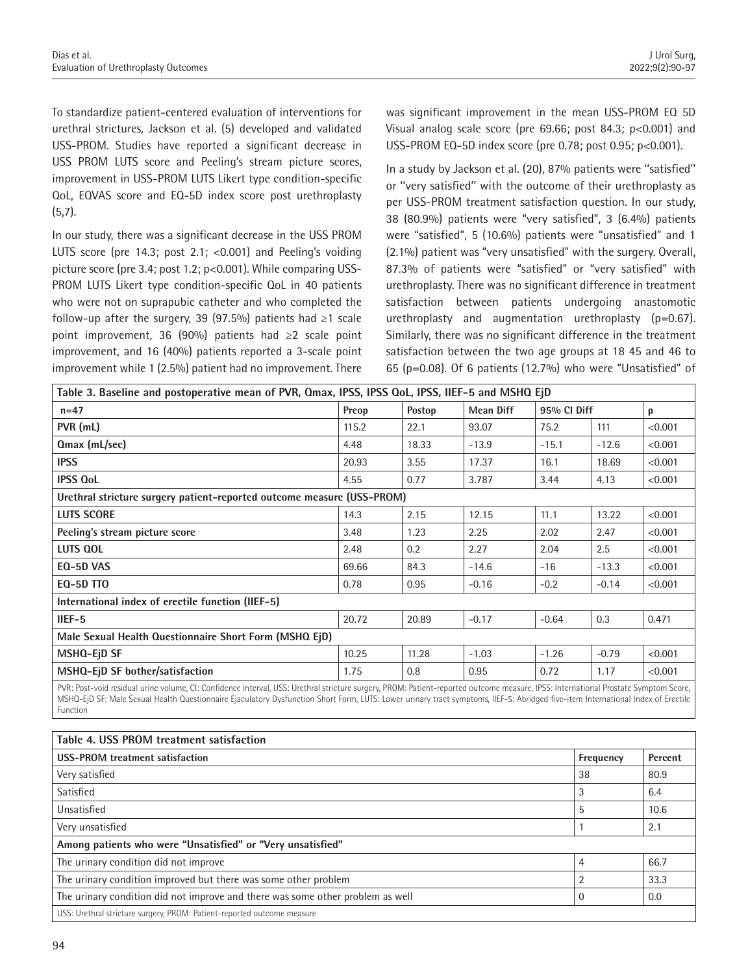To standardize patient-centered evaluation of interventions for urethral strictures, Jackson et al. (5) developed and validated USS-PROM. Studies have reported a significant decrease in USS PROM LUTS score and Peeling's stream picture scores, improvement in USS-PROM LUTS Likert type condition-specific QoL, EQVAS score and EQ-5D index score post urethroplasty (5,7).

In our study, there was a significant decrease in the USS PROM LUTS score (pre 14.3; post 2.1; <0.001) and Peeling's voiding picture score (pre 3.4; post 1.2; p<0.001). While comparing USS-PROM LUTS Likert type condition-specific QoL in 40 patients who were not on suprapubic catheter and who completed the follow-up after the surgery, 39 (97.5%) patients had ≥1 scale point improvement, 36 (90%) patients had ≥2 scale point improvement, and 16 (40%) patients reported a 3-scale point improvement while 1 (2.5%) patient had no improvement. There

was significant improvement in the mean USS-PROM EQ 5D Visual analog scale score (pre 69.66; post 84.3; p<0.001) and USS-PROM EQ-5D index score (pre 0.78; post 0.95; p<0.001).

In a study by Jackson et al. (20), 87% patients were ''satisfied'' or ''very satisfied'' with the outcome of their urethroplasty as per USS-PROM treatment satisfaction question. In our study, 38 (80.9%) patients were "very satisfied", 3 (6.4%) patients were "satisfied", 5 (10.6%) patients were "unsatisfied" and 1 (2.1%) patient was "very unsatisfied" with the surgery. Overall, 87.3% of patients were "satisfied" or "very satisfied" with urethroplasty. There was no significant difference in treatment satisfaction between patients undergoing anastomotic urethroplasty and augmentation urethroplasty (p=0.67). Similarly, there was no significant difference in the treatment satisfaction between the two age groups at 18 45 and 46 to 65 (p=0.08). Of 6 patients (12.7%) who were "Unsatisfied" of

| Table 3. Baseline and postoperative mean of PVR, Qmax, IPSS, IPSS QoL, IPSS, IIEF-5 and MSHQ EjD                                                                                                                                                 |       |        |                  |             |         |         |  |  |
|--------------------------------------------------------------------------------------------------------------------------------------------------------------------------------------------------------------------------------------------------|-------|--------|------------------|-------------|---------|---------|--|--|
| $n=47$                                                                                                                                                                                                                                           | Preop | Postop | <b>Mean Diff</b> | 95% CI Diff |         | p       |  |  |
| PVR (mL)                                                                                                                                                                                                                                         | 115.2 | 22.1   | 93.07            | 75.2        | 111     | < 0.001 |  |  |
| Qmax (mL/sec)                                                                                                                                                                                                                                    | 4.48  | 18.33  | $-13.9$          | $-15.1$     | $-12.6$ | < 0.001 |  |  |
| <b>IPSS</b>                                                                                                                                                                                                                                      | 20.93 | 3.55   | 17.37            | 16.1        | 18.69   | < 0.001 |  |  |
| <b>IPSS QoL</b>                                                                                                                                                                                                                                  | 4.55  | 0.77   | 3.787            | 3.44        | 4.13    | < 0.001 |  |  |
| Urethral stricture surgery patient-reported outcome measure (USS-PROM)                                                                                                                                                                           |       |        |                  |             |         |         |  |  |
| <b>LUTS SCORE</b>                                                                                                                                                                                                                                | 14.3  | 2.15   | 12.15            | 11.1        | 13.22   | < 0.001 |  |  |
| Peeling's stream picture score                                                                                                                                                                                                                   | 3.48  | 1.23   | 2.25             | 2.02        | 2.47    | < 0.001 |  |  |
| <b>LUTS QOL</b>                                                                                                                                                                                                                                  | 2.48  | 0.2    | 2.27             | 2.04        | 2.5     | < 0.001 |  |  |
| EQ-5D VAS                                                                                                                                                                                                                                        | 69.66 | 84.3   | $-14.6$          | $-16$       | $-13.3$ | < 0.001 |  |  |
| <b>EQ-5D TTO</b>                                                                                                                                                                                                                                 | 0.78  | 0.95   | $-0.16$          | $-0.2$      | $-0.14$ | < 0.001 |  |  |
| International index of erectile function (IIEF-5)                                                                                                                                                                                                |       |        |                  |             |         |         |  |  |
| IIEF-5                                                                                                                                                                                                                                           | 20.72 | 20.89  | $-0.17$          | $-0.64$     | 0.3     | 0.471   |  |  |
| Male Sexual Health Questionnaire Short Form (MSHQ EjD)                                                                                                                                                                                           |       |        |                  |             |         |         |  |  |
| MSHQ-EjD SF                                                                                                                                                                                                                                      | 10.25 | 11.28  | $-1.03$          | $-1.26$     | $-0.79$ | < 0.001 |  |  |
| MSHQ-EjD SF bother/satisfaction                                                                                                                                                                                                                  | 1.75  | 0.8    | 0.95             | 0.72        | 1.17    | < 0.001 |  |  |
| man and the the state of a contract and the state of the state of the state of the state of the state of the state of the state of the state of the state of the state of the state of the state of the state of the state of<br>$\Box$<br>$P_1$ |       |        |                  |             |         |         |  |  |

PVR: Post-void residual urine volume, CI: Confidence interval, USS: Urethral stricture surgery, PROM: Patient-reported outcome measure, IPSS: International Prostate Symptom Score, MSHQ-EjD SF: Male Sexual Health Questionnaire Ejaculatory Dysfunction Short Form, LUTS: Lower urinary tract symptoms, IIEF-5: Abridged five-item International Index of Erectile Function

| Table 4. USS PROM treatment satisfaction                                       |                |         |  |  |  |
|--------------------------------------------------------------------------------|----------------|---------|--|--|--|
| USS-PROM treatment satisfaction                                                | Frequency      | Percent |  |  |  |
| Very satisfied                                                                 | 38             | 80.9    |  |  |  |
| Satisfied                                                                      | 3              | 6.4     |  |  |  |
| Unsatisfied                                                                    |                | 10.6    |  |  |  |
| Very unsatisfied                                                               |                | 2.1     |  |  |  |
| Among patients who were "Unsatisfied" or "Very unsatisfied"                    |                |         |  |  |  |
| The urinary condition did not improve                                          | 4              | 66.7    |  |  |  |
| The urinary condition improved but there was some other problem                | $\overline{2}$ | 33.3    |  |  |  |
| The urinary condition did not improve and there was some other problem as well |                | 0.0     |  |  |  |
| USS: Urethral stricture surgery, PROM: Patient-reported outcome measure        |                |         |  |  |  |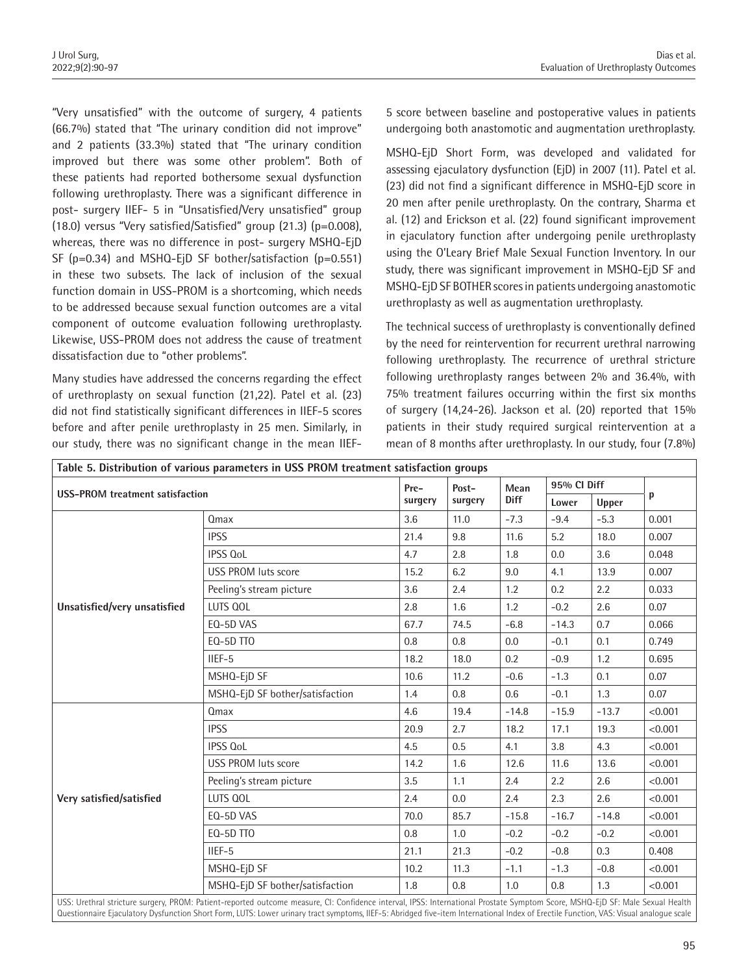"Very unsatisfied" with the outcome of surgery, 4 patients (66.7%) stated that "The urinary condition did not improve" and 2 patients (33.3%) stated that "The urinary condition improved but there was some other problem". Both of these patients had reported bothersome sexual dysfunction following urethroplasty. There was a significant difference in post- surgery IIEF- 5 in "Unsatisfied/Very unsatisfied" group (18.0) versus "Very satisfied/Satisfied" group (21.3) (p=0.008), whereas, there was no difference in post- surgery MSHQ-EjD SF (p=0.34) and MSHQ-EjD SF bother/satisfaction (p=0.551) in these two subsets. The lack of inclusion of the sexual function domain in USS-PROM is a shortcoming, which needs to be addressed because sexual function outcomes are a vital component of outcome evaluation following urethroplasty. Likewise, USS-PROM does not address the cause of treatment dissatisfaction due to "other problems".

Many studies have addressed the concerns regarding the effect of urethroplasty on sexual function (21,22). Patel et al. (23) did not find statistically significant differences in IIEF-5 scores before and after penile urethroplasty in 25 men. Similarly, in our study, there was no significant change in the mean IIEF-

5 score between baseline and postoperative values in patients undergoing both anastomotic and augmentation urethroplasty.

MSHQ-EjD Short Form, was developed and validated for assessing ejaculatory dysfunction (EjD) in 2007 (11). Patel et al. (23) did not find a significant difference in MSHQ-EjD score in 20 men after penile urethroplasty. On the contrary, Sharma et al. (12) and Erickson et al. (22) found significant improvement in ejaculatory function after undergoing penile urethroplasty using the O'Leary Brief Male Sexual Function Inventory. In our study, there was significant improvement in MSHQ-EjD SF and MSHQ-EjD SF BOTHER scores in patients undergoing anastomotic urethroplasty as well as augmentation urethroplasty.

The technical success of urethroplasty is conventionally defined by the need for reintervention for recurrent urethral narrowing following urethroplasty. The recurrence of urethral stricture following urethroplasty ranges between 2% and 36.4%, with 75% treatment failures occurring within the first six months of surgery (14,24-26). Jackson et al. (20) reported that 15% patients in their study required surgical reintervention at a mean of 8 months after urethroplasty. In our study, four (7.8%)

| Table 5. Distribution of various parameters in USS PROM treatment satisfaction groups |                                 |         |                  |                     |             |         |         |
|---------------------------------------------------------------------------------------|---------------------------------|---------|------------------|---------------------|-------------|---------|---------|
| <b>USS-PROM</b> treatment satisfaction                                                |                                 | Pre-    | Post-<br>surgery | Mean<br><b>Diff</b> | 95% CI Diff |         |         |
|                                                                                       |                                 | surgery |                  |                     | Lower       | Upper   | р       |
| Unsatisfied/very unsatisfied                                                          | Qmax                            | 3.6     | 11.0             | $-7.3$              | $-9.4$      | $-5.3$  | 0.001   |
|                                                                                       | <b>IPSS</b>                     | 21.4    | 9.8              | 11.6                | 5.2         | 18.0    | 0.007   |
|                                                                                       | <b>IPSS QoL</b>                 | 4.7     | 2.8              | 1.8                 | 0.0         | 3.6     | 0.048   |
|                                                                                       | <b>USS PROM luts score</b>      | 15.2    | 6.2              | 9.0                 | 4.1         | 13.9    | 0.007   |
|                                                                                       | Peeling's stream picture        | 3.6     | 2.4              | 1.2                 | 0.2         | 2.2     | 0.033   |
|                                                                                       | LUTS QOL                        | 2.8     | 1.6              | 1.2                 | $-0.2$      | 2.6     | 0.07    |
|                                                                                       | EQ-5D VAS                       | 67.7    | 74.5             | $-6.8$              | $-14.3$     | 0.7     | 0.066   |
|                                                                                       | EQ-5D TTO                       | 0.8     | 0.8              | 0.0                 | $-0.1$      | 0.1     | 0.749   |
|                                                                                       | $IIEF-5$                        | 18.2    | 18.0             | 0.2                 | $-0.9$      | 1.2     | 0.695   |
|                                                                                       | MSHQ-EjD SF                     | 10.6    | 11.2             | $-0.6$              | $-1.3$      | 0.1     | 0.07    |
|                                                                                       | MSHQ-EjD SF bother/satisfaction | 1.4     | 0.8              | 0.6                 | $-0.1$      | 1.3     | 0.07    |
| Very satisfied/satisfied                                                              | Qmax                            | 4.6     | 19.4             | $-14.8$             | $-15.9$     | $-13.7$ | < 0.001 |
|                                                                                       | <b>IPSS</b>                     | 20.9    | 2.7              | 18.2                | 17.1        | 19.3    | < 0.001 |
|                                                                                       | <b>IPSS QoL</b>                 | 4.5     | 0.5              | 4.1                 | 3.8         | 4.3     | < 0.001 |
|                                                                                       | <b>USS PROM luts score</b>      | 14.2    | 1.6              | 12.6                | 11.6        | 13.6    | < 0.001 |
|                                                                                       | Peeling's stream picture        | 3.5     | 1.1              | 2.4                 | 2.2         | 2.6     | < 0.001 |
|                                                                                       | LUTS QOL                        | 2.4     | 0.0              | 2.4                 | 2.3         | 2.6     | < 0.001 |
|                                                                                       | EQ-5D VAS                       | 70.0    | 85.7             | $-15.8$             | $-16.7$     | $-14.8$ | < 0.001 |
|                                                                                       | EQ-5D TTO                       | 0.8     | 1.0              | $-0.2$              | $-0.2$      | $-0.2$  | < 0.001 |
|                                                                                       | $IIEF-5$                        | 21.1    | 21.3             | $-0.2$              | $-0.8$      | 0.3     | 0.408   |
|                                                                                       | MSHQ-EjD SF                     | 10.2    | 11.3             | $-1.1$              | $-1.3$      | $-0.8$  | < 0.001 |
|                                                                                       | MSHQ-EjD SF bother/satisfaction | 1.8     | 0.8              | 1.0                 | 0.8         | 1.3     | < 0.001 |

USS: Urethral stricture surgery, PROM: Patient-reported outcome measure, CI: Confidence interval, IPSS: International Prostate Symptom Score, MSHQ-EjD SF: Male Sexual Health Questionnaire Ejaculatory Dysfunction Short Form, LUTS: Lower urinary tract symptoms, IIEF-5: Abridged five-item International Index of Erectile Function, VAS: Visual analogue scale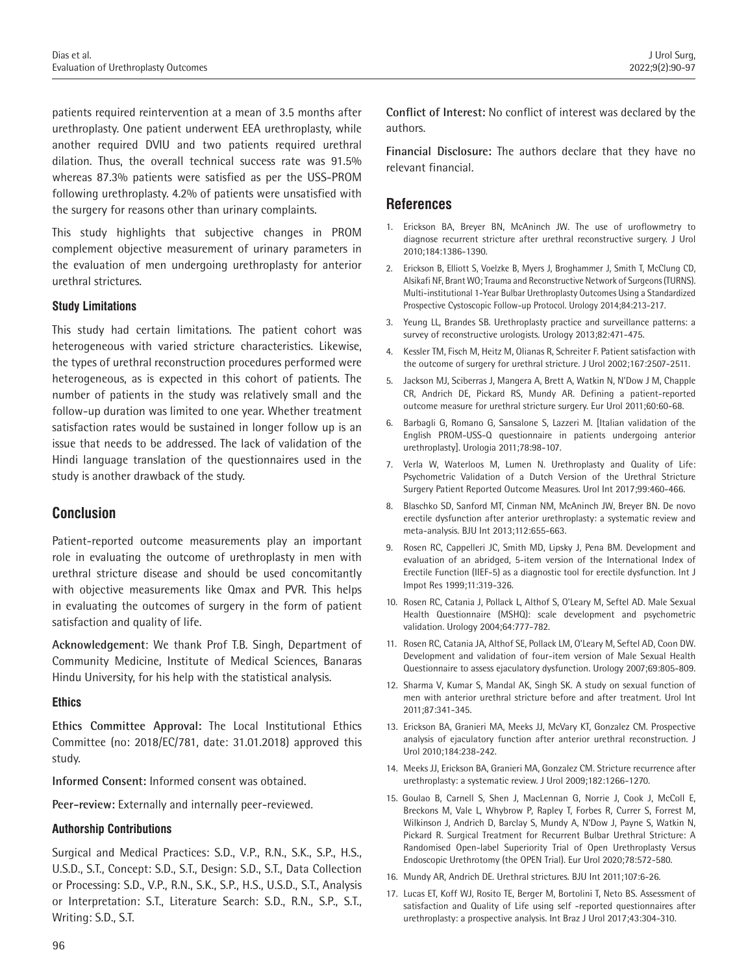patients required reintervention at a mean of 3.5 months after urethroplasty. One patient underwent EEA urethroplasty, while another required DVIU and two patients required urethral dilation. Thus, the overall technical success rate was 91.5% whereas 87.3% patients were satisfied as per the USS-PROM following urethroplasty. 4.2% of patients were unsatisfied with the surgery for reasons other than urinary complaints.

This study highlights that subjective changes in PROM complement objective measurement of urinary parameters in the evaluation of men undergoing urethroplasty for anterior urethral strictures.

#### **Study Limitations**

This study had certain limitations. The patient cohort was heterogeneous with varied stricture characteristics. Likewise, the types of urethral reconstruction procedures performed were heterogeneous, as is expected in this cohort of patients. The number of patients in the study was relatively small and the follow-up duration was limited to one year. Whether treatment satisfaction rates would be sustained in longer follow up is an issue that needs to be addressed. The lack of validation of the Hindi language translation of the questionnaires used in the study is another drawback of the study.

## **Conclusion**

Patient-reported outcome measurements play an important role in evaluating the outcome of urethroplasty in men with urethral stricture disease and should be used concomitantly with objective measurements like Qmax and PVR. This helps in evaluating the outcomes of surgery in the form of patient satisfaction and quality of life.

**Acknowledgement**: We thank Prof T.B. Singh, Department of Community Medicine, Institute of Medical Sciences, Banaras Hindu University, for his help with the statistical analysis.

#### **Ethics**

**Ethics Committee Approval:** The Local Institutional Ethics Committee (no: 2018/EC/781, date: 31.01.2018) approved this study.

**Informed Consent:** Informed consent was obtained.

**Peer-review:** Externally and internally peer-reviewed.

#### **Authorship Contributions**

Surgical and Medical Practices: S.D., V.P., R.N., S.K., S.P., H.S., U.S.D., S.T., Concept: S.D., S.T., Design: S.D., S.T., Data Collection or Processing: S.D., V.P., R.N., S.K., S.P., H.S., U.S.D., S.T., Analysis or Interpretation: S.T., Literature Search: S.D., R.N., S.P., S.T., Writing: S.D., S.T.

**Conflict of Interest:** No conflict of interest was declared by the authors.

**Financial Disclosure:** The authors declare that they have no relevant financial.

## **References**

- 1. Erickson BA, Breyer BN, McAninch JW. The use of uroflowmetry to diagnose recurrent stricture after urethral reconstructive surgery. J Urol 2010;184:1386-1390.
- 2. Erickson B, Elliott S, Voelzke B, Myers J, Broghammer J, Smith T, McClung CD, Alsikafi NF, Brant WO; Trauma and Reconstructive Network of Surgeons (TURNS). Multi-institutional 1-Year Bulbar Urethroplasty Outcomes Using a Standardized Prospective Cystoscopic Follow-up Protocol. Urology 2014;84:213-217.
- 3. Yeung LL, Brandes SB. Urethroplasty practice and surveillance patterns: a survey of reconstructive urologists. Urology 2013;82:471-475.
- 4. Kessler TM, Fisch M, Heitz M, Olianas R, Schreiter F. Patient satisfaction with the outcome of surgery for urethral stricture. J Urol 2002;167:2507-2511.
- 5. Jackson MJ, Sciberras J, Mangera A, Brett A, Watkin N, N'Dow J M, Chapple CR, Andrich DE, Pickard RS, Mundy AR. Defining a patient-reported outcome measure for urethral stricture surgery. Eur Urol 2011;60:60-68.
- 6. Barbagli G, Romano G, Sansalone S, Lazzeri M. [Italian validation of the English PROM-USS-Q questionnaire in patients undergoing anterior urethroplasty]. Urologia 2011;78:98-107.
- 7. Verla W, Waterloos M, Lumen N. Urethroplasty and Quality of Life: Psychometric Validation of a Dutch Version of the Urethral Stricture Surgery Patient Reported Outcome Measures. Urol Int 2017;99:460-466.
- 8. Blaschko SD, Sanford MT, Cinman NM, McAninch JW, Breyer BN. De novo erectile dysfunction after anterior urethroplasty: a systematic review and meta-analysis. BJU Int 2013;112:655-663.
- 9. Rosen RC, Cappelleri JC, Smith MD, Lipsky J, Pena BM. Development and evaluation of an abridged, 5-item version of the International Index of Erectile Function (IIEF-5) as a diagnostic tool for erectile dysfunction. Int J Impot Res 1999;11:319-326.
- 10. Rosen RC, Catania J, Pollack L, Althof S, O'Leary M, Seftel AD. Male Sexual Health Questionnaire (MSHQ): scale development and psychometric validation. Urology 2004;64:777-782.
- 11. Rosen RC, Catania JA, Althof SE, Pollack LM, O'Leary M, Seftel AD, Coon DW. Development and validation of four-item version of Male Sexual Health Questionnaire to assess ejaculatory dysfunction. Urology 2007;69:805-809.
- 12. Sharma V, Kumar S, Mandal AK, Singh SK. A study on sexual function of men with anterior urethral stricture before and after treatment. Urol Int 2011;87:341-345.
- 13. Erickson BA, Granieri MA, Meeks JJ, McVary KT, Gonzalez CM. Prospective analysis of ejaculatory function after anterior urethral reconstruction. J Urol 2010;184:238-242.
- 14. Meeks JJ, Erickson BA, Granieri MA, Gonzalez CM. Stricture recurrence after urethroplasty: a systematic review. J Urol 2009;182:1266-1270.
- 15. Goulao B, Carnell S, Shen J, MacLennan G, Norrie J, Cook J, McColl E, Breckons M, Vale L, Whybrow P, Rapley T, Forbes R, Currer S, Forrest M, Wilkinson J, Andrich D, Barclay S, Mundy A, N'Dow J, Payne S, Watkin N, Pickard R. Surgical Treatment for Recurrent Bulbar Urethral Stricture: A Randomised Open-label Superiority Trial of Open Urethroplasty Versus Endoscopic Urethrotomy (the OPEN Trial). Eur Urol 2020;78:572-580.
- 16. Mundy AR, Andrich DE. Urethral strictures. BJU Int 2011;107:6-26.
- 17. Lucas ET, Koff WJ, Rosito TE, Berger M, Bortolini T, Neto BS. Assessment of satisfaction and Quality of Life using self -reported questionnaires after urethroplasty: a prospective analysis. Int Braz J Urol 2017;43:304-310.